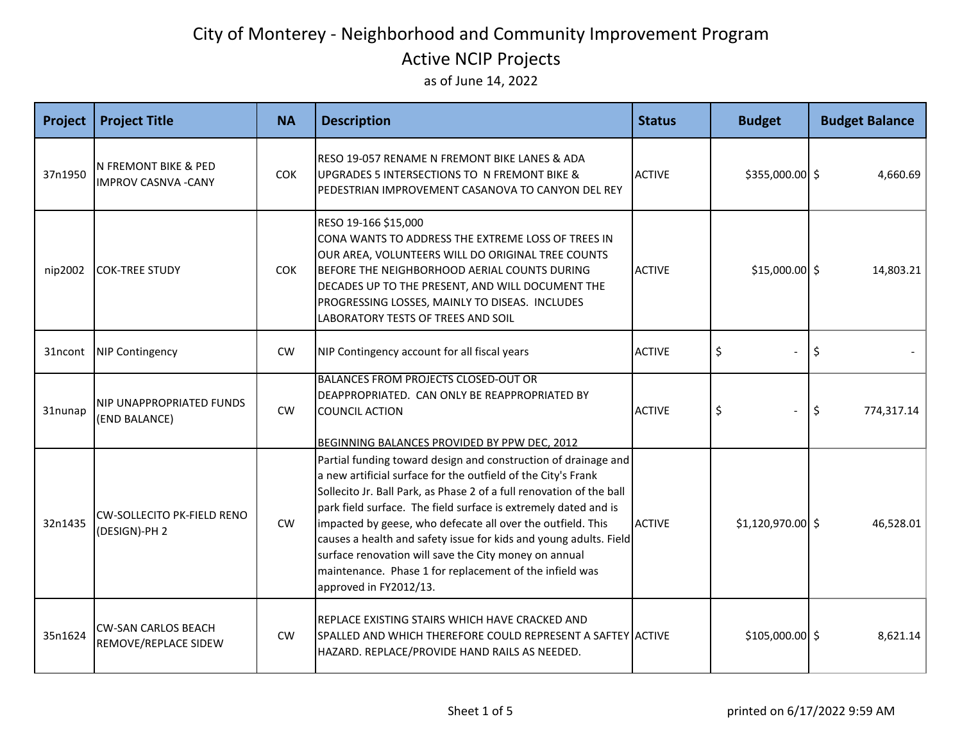| Project | <b>Project Title</b>                                           | <b>NA</b>  | <b>Description</b>                                                                                                                                                                                                                                                                                                                                                                                                                                                                                                                                           | <b>Status</b> | <b>Budget</b>     | <b>Budget Balance</b> |
|---------|----------------------------------------------------------------|------------|--------------------------------------------------------------------------------------------------------------------------------------------------------------------------------------------------------------------------------------------------------------------------------------------------------------------------------------------------------------------------------------------------------------------------------------------------------------------------------------------------------------------------------------------------------------|---------------|-------------------|-----------------------|
| 37n1950 | <b>N FREMONT BIKE &amp; PED</b><br><b>IMPROV CASNVA - CANY</b> | <b>COK</b> | RESO 19-057 RENAME N FREMONT BIKE LANES & ADA<br>UPGRADES 5 INTERSECTIONS TO N FREMONT BIKE &<br>PEDESTRIAN IMPROVEMENT CASANOVA TO CANYON DEL REY                                                                                                                                                                                                                                                                                                                                                                                                           | <b>ACTIVE</b> | \$355,000.00 \$   | 4,660.69              |
| nip2002 | <b>COK-TREE STUDY</b>                                          | <b>COK</b> | RESO 19-166 \$15,000<br>CONA WANTS TO ADDRESS THE EXTREME LOSS OF TREES IN<br>OUR AREA, VOLUNTEERS WILL DO ORIGINAL TREE COUNTS<br>BEFORE THE NEIGHBORHOOD AERIAL COUNTS DURING<br>DECADES UP TO THE PRESENT, AND WILL DOCUMENT THE<br>PROGRESSING LOSSES, MAINLY TO DISEAS. INCLUDES<br>LABORATORY TESTS OF TREES AND SOIL                                                                                                                                                                                                                                  | <b>ACTIVE</b> | $$15,000.00$ \$   | 14,803.21             |
| 31ncont | <b>NIP Contingency</b>                                         | <b>CW</b>  | NIP Contingency account for all fiscal years                                                                                                                                                                                                                                                                                                                                                                                                                                                                                                                 | <b>ACTIVE</b> | \$                | \$                    |
| 31nunap | <b>NIP UNAPPROPRIATED FUNDS</b><br>(END BALANCE)               | CW         | BALANCES FROM PROJECTS CLOSED-OUT OR<br>DEAPPROPRIATED. CAN ONLY BE REAPPROPRIATED BY<br><b>COUNCIL ACTION</b><br>BEGINNING BALANCES PROVIDED BY PPW DEC, 2012                                                                                                                                                                                                                                                                                                                                                                                               | <b>ACTIVE</b> | \$                | \$<br>774,317.14      |
| 32n1435 | <b>CW-SOLLECITO PK-FIELD RENO</b><br>(DESIGN)-PH 2             | CW         | Partial funding toward design and construction of drainage and<br>a new artificial surface for the outfield of the City's Frank<br>Sollecito Jr. Ball Park, as Phase 2 of a full renovation of the ball<br>park field surface. The field surface is extremely dated and is<br>impacted by geese, who defecate all over the outfield. This<br>causes a health and safety issue for kids and young adults. Field<br>surface renovation will save the City money on annual<br>maintenance. Phase 1 for replacement of the infield was<br>approved in FY2012/13. | <b>ACTIVE</b> | \$1,120,970.00 \$ | 46,528.01             |
| 35n1624 | <b>CW-SAN CARLOS BEACH</b><br>REMOVE/REPLACE SIDEW             | CW         | REPLACE EXISTING STAIRS WHICH HAVE CRACKED AND<br>SPALLED AND WHICH THEREFORE COULD REPRESENT A SAFTEY ACTIVE<br>HAZARD. REPLACE/PROVIDE HAND RAILS AS NEEDED.                                                                                                                                                                                                                                                                                                                                                                                               |               | $$105,000.00$ \$  | 8,621.14              |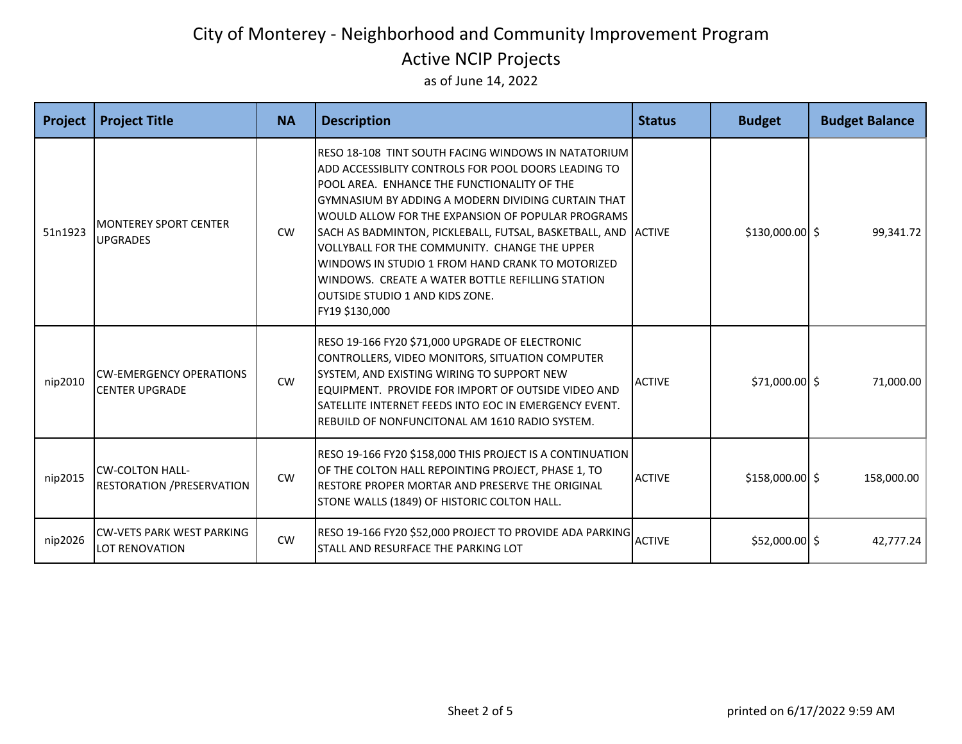| Project | <b>Project Title</b>                                        | <b>NA</b> | <b>Description</b>                                                                                                                                                                                                                                                                                                                                                                                                                                                                                                                                         | <b>Status</b> | <b>Budget</b>    | <b>Budget Balance</b> |
|---------|-------------------------------------------------------------|-----------|------------------------------------------------------------------------------------------------------------------------------------------------------------------------------------------------------------------------------------------------------------------------------------------------------------------------------------------------------------------------------------------------------------------------------------------------------------------------------------------------------------------------------------------------------------|---------------|------------------|-----------------------|
| 51n1923 | <b>MONTEREY SPORT CENTER</b><br><b>UPGRADES</b>             | <b>CW</b> | RESO 18-108 TINT SOUTH FACING WINDOWS IN NATATORIUM<br>ADD ACCESSIBLITY CONTROLS FOR POOL DOORS LEADING TO<br>POOL AREA. ENHANCE THE FUNCTIONALITY OF THE<br>GYMNASIUM BY ADDING A MODERN DIVIDING CURTAIN THAT<br>WOULD ALLOW FOR THE EXPANSION OF POPULAR PROGRAMS<br>SACH AS BADMINTON, PICKLEBALL, FUTSAL, BASKETBALL, AND ACTIVE<br>VOLLYBALL FOR THE COMMUNITY. CHANGE THE UPPER<br>WINDOWS IN STUDIO 1 FROM HAND CRANK TO MOTORIZED<br>WINDOWS. CREATE A WATER BOTTLE REFILLING STATION<br><b>OUTSIDE STUDIO 1 AND KIDS ZONE.</b><br>FY19 \$130,000 |               | \$130,000.00 \$  | 99,341.72             |
| nip2010 | <b>ICW-EMERGENCY OPERATIONS</b><br><b>CENTER UPGRADE</b>    | <b>CW</b> | RESO 19-166 FY20 \$71,000 UPGRADE OF ELECTRONIC<br>CONTROLLERS, VIDEO MONITORS, SITUATION COMPUTER<br>SYSTEM, AND EXISTING WIRING TO SUPPORT NEW<br>EQUIPMENT. PROVIDE FOR IMPORT OF OUTSIDE VIDEO AND<br>SATELLITE INTERNET FEEDS INTO EOC IN EMERGENCY EVENT.<br>REBUILD OF NONFUNCITONAL AM 1610 RADIO SYSTEM.                                                                                                                                                                                                                                          | <b>ACTIVE</b> | $$71,000.00$ \$  | 71,000.00             |
| nip2015 | <b>CW-COLTON HALL-</b><br><b>RESTORATION / PRESERVATION</b> | <b>CW</b> | RESO 19-166 FY20 \$158,000 THIS PROJECT IS A CONTINUATION<br>OF THE COLTON HALL REPOINTING PROJECT, PHASE 1, TO<br>RESTORE PROPER MORTAR AND PRESERVE THE ORIGINAL<br>STONE WALLS (1849) OF HISTORIC COLTON HALL.                                                                                                                                                                                                                                                                                                                                          | <b>ACTIVE</b> | $$158,000.00$ \$ | 158,000.00            |
| nip2026 | <b>CW-VETS PARK WEST PARKING</b><br><b>LOT RENOVATION</b>   | CW        | RESO 19-166 FY20 \$52,000 PROJECT TO PROVIDE ADA PARKING ACTIVE<br>STALL AND RESURFACE THE PARKING LOT                                                                                                                                                                                                                                                                                                                                                                                                                                                     |               | $$52,000.00$ \$  | 42,777.24             |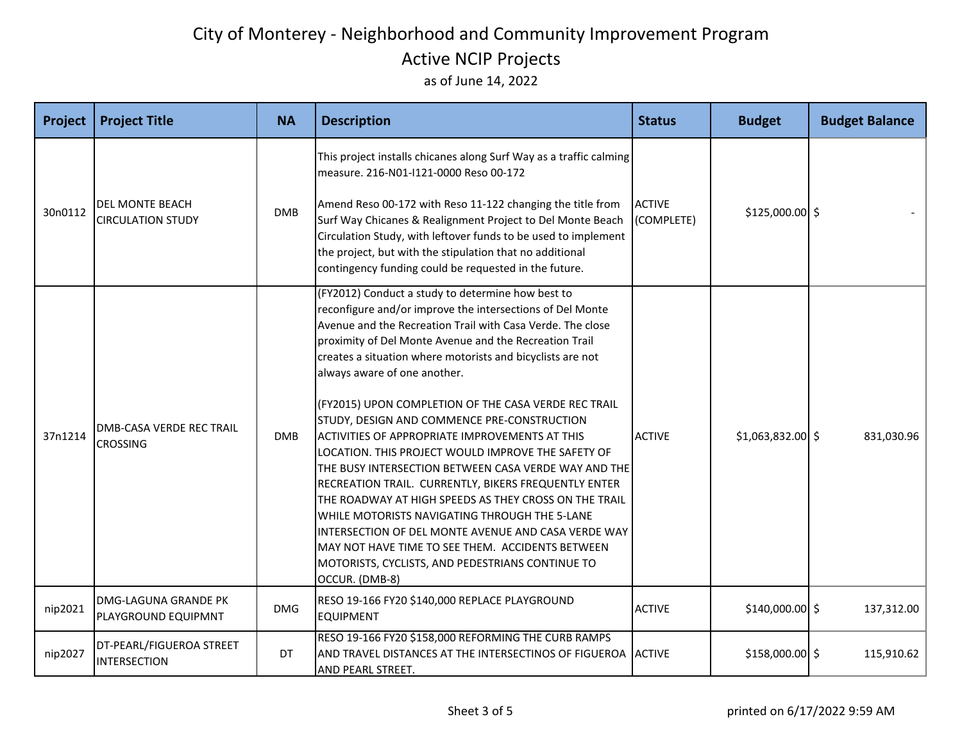| Project | <b>Project Title</b>                               | <b>NA</b>  | <b>Description</b>                                                                                                                                                                                                                                                                                                                                                                                                                                                                                                                                                                                                                                                                                                                                                                                                                                                                                                                                                    | <b>Status</b>               | <b>Budget</b>      | <b>Budget Balance</b> |
|---------|----------------------------------------------------|------------|-----------------------------------------------------------------------------------------------------------------------------------------------------------------------------------------------------------------------------------------------------------------------------------------------------------------------------------------------------------------------------------------------------------------------------------------------------------------------------------------------------------------------------------------------------------------------------------------------------------------------------------------------------------------------------------------------------------------------------------------------------------------------------------------------------------------------------------------------------------------------------------------------------------------------------------------------------------------------|-----------------------------|--------------------|-----------------------|
| 30n0112 | <b>DEL MONTE BEACH</b><br><b>CIRCULATION STUDY</b> | <b>DMB</b> | This project installs chicanes along Surf Way as a traffic calming<br>measure. 216-N01-I121-0000 Reso 00-172<br>Amend Reso 00-172 with Reso 11-122 changing the title from<br>Surf Way Chicanes & Realignment Project to Del Monte Beach<br>Circulation Study, with leftover funds to be used to implement<br>the project, but with the stipulation that no additional<br>contingency funding could be requested in the future.                                                                                                                                                                                                                                                                                                                                                                                                                                                                                                                                       | <b>ACTIVE</b><br>(COMPLETE) | \$125,000.00 \$    |                       |
| 37n1214 | <b>DMB-CASA VERDE REC TRAIL</b><br><b>CROSSING</b> | <b>DMB</b> | (FY2012) Conduct a study to determine how best to<br>reconfigure and/or improve the intersections of Del Monte<br>Avenue and the Recreation Trail with Casa Verde. The close<br>proximity of Del Monte Avenue and the Recreation Trail<br>creates a situation where motorists and bicyclists are not<br>always aware of one another.<br>(FY2015) UPON COMPLETION OF THE CASA VERDE REC TRAIL<br>STUDY, DESIGN AND COMMENCE PRE-CONSTRUCTION<br><b>ACTIVITIES OF APPROPRIATE IMPROVEMENTS AT THIS</b><br>LOCATION. THIS PROJECT WOULD IMPROVE THE SAFETY OF<br>THE BUSY INTERSECTION BETWEEN CASA VERDE WAY AND THE<br>RECREATION TRAIL. CURRENTLY, BIKERS FREQUENTLY ENTER<br>THE ROADWAY AT HIGH SPEEDS AS THEY CROSS ON THE TRAIL<br>WHILE MOTORISTS NAVIGATING THROUGH THE 5-LANE<br>INTERSECTION OF DEL MONTE AVENUE AND CASA VERDE WAY<br>MAY NOT HAVE TIME TO SEE THEM. ACCIDENTS BETWEEN<br>MOTORISTS, CYCLISTS, AND PEDESTRIANS CONTINUE TO<br>OCCUR. (DMB-8) | <b>ACTIVE</b>               | $$1,063,832.00$ \$ | 831,030.96            |
| nip2021 | <b>DMG-LAGUNA GRANDE PK</b><br>PLAYGROUND EQUIPMNT | <b>DMG</b> | RESO 19-166 FY20 \$140,000 REPLACE PLAYGROUND<br><b>EQUIPMENT</b>                                                                                                                                                                                                                                                                                                                                                                                                                                                                                                                                                                                                                                                                                                                                                                                                                                                                                                     | <b>ACTIVE</b>               | $$140,000.00$ \$   | 137,312.00            |
| nip2027 | DT-PEARL/FIGUEROA STREET<br>INTERSECTION           | DT         | RESO 19-166 FY20 \$158,000 REFORMING THE CURB RAMPS<br>AND TRAVEL DISTANCES AT THE INTERSECTINOS OF FIGUEROA ACTIVE<br>AND PEARL STREET.                                                                                                                                                                                                                                                                                                                                                                                                                                                                                                                                                                                                                                                                                                                                                                                                                              |                             | \$158,000.00 \$    | 115,910.62            |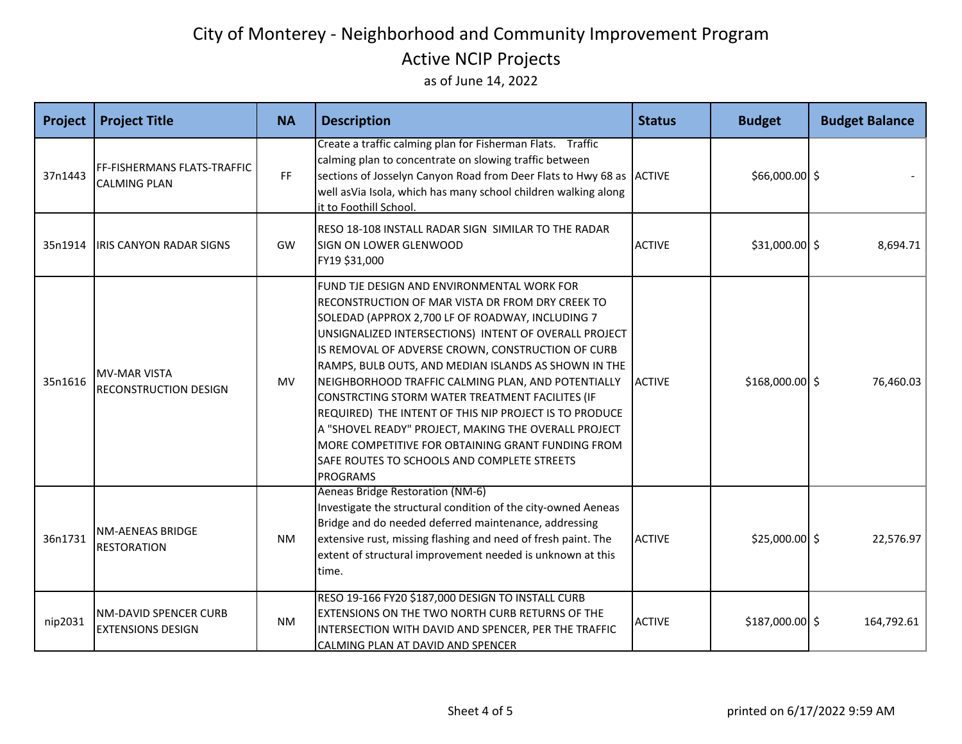| <b>Project</b> | <b>Project Title</b>                                     | <b>NA</b> | <b>Description</b>                                                                                                                                                                                                                                                                                                                                                                                                                                                                                                                                                                                                                                                         | <b>Status</b> | <b>Budget</b>    | <b>Budget Balance</b> |
|----------------|----------------------------------------------------------|-----------|----------------------------------------------------------------------------------------------------------------------------------------------------------------------------------------------------------------------------------------------------------------------------------------------------------------------------------------------------------------------------------------------------------------------------------------------------------------------------------------------------------------------------------------------------------------------------------------------------------------------------------------------------------------------------|---------------|------------------|-----------------------|
| 37n1443        | FF-FISHERMANS FLATS-TRAFFIC<br><b>CALMING PLAN</b>       | FF.       | Create a traffic calming plan for Fisherman Flats. Traffic<br>calming plan to concentrate on slowing traffic between<br>sections of Josselyn Canyon Road from Deer Flats to Hwy 68 as ACTIVE<br>well asVia Isola, which has many school children walking along<br>it to Foothill School.                                                                                                                                                                                                                                                                                                                                                                                   |               | \$66,000.00 \$   |                       |
| 35n1914        | <b>IRIS CANYON RADAR SIGNS</b>                           | GW        | RESO 18-108 INSTALL RADAR SIGN SIMILAR TO THE RADAR<br>SIGN ON LOWER GLENWOOD<br>FY19 \$31,000                                                                                                                                                                                                                                                                                                                                                                                                                                                                                                                                                                             | <b>ACTIVE</b> | $$31,000.00$ \$  | 8,694.71              |
| 35n1616        | <b>MV-MAR VISTA</b><br><b>RECONSTRUCTION DESIGN</b>      | <b>MV</b> | FUND TJE DESIGN AND ENVIRONMENTAL WORK FOR<br>RECONSTRUCTION OF MAR VISTA DR FROM DRY CREEK TO<br>SOLEDAD (APPROX 2,700 LF OF ROADWAY, INCLUDING 7<br>UNSIGNALIZED INTERSECTIONS) INTENT OF OVERALL PROJECT<br>IS REMOVAL OF ADVERSE CROWN, CONSTRUCTION OF CURB<br>RAMPS, BULB OUTS, AND MEDIAN ISLANDS AS SHOWN IN THE<br>NEIGHBORHOOD TRAFFIC CALMING PLAN, AND POTENTIALLY<br>CONSTRCTING STORM WATER TREATMENT FACILITES (IF<br>REQUIRED) THE INTENT OF THIS NIP PROJECT IS TO PRODUCE<br>A "SHOVEL READY" PROJECT, MAKING THE OVERALL PROJECT<br>MORE COMPETITIVE FOR OBTAINING GRANT FUNDING FROM<br>SAFE ROUTES TO SCHOOLS AND COMPLETE STREETS<br><b>PROGRAMS</b> | <b>ACTIVE</b> | $$168,000.00$ \$ | 76,460.03             |
| 36n1731        | <b>NM-AENEAS BRIDGE</b><br><b>RESTORATION</b>            | <b>NM</b> | Aeneas Bridge Restoration (NM-6)<br>Investigate the structural condition of the city-owned Aeneas<br>Bridge and do needed deferred maintenance, addressing<br>extensive rust, missing flashing and need of fresh paint. The<br>extent of structural improvement needed is unknown at this<br>time.                                                                                                                                                                                                                                                                                                                                                                         | <b>ACTIVE</b> | $$25,000.00$ \$  | 22,576.97             |
| nip2031        | <b>NM-DAVID SPENCER CURB</b><br><b>EXTENSIONS DESIGN</b> | <b>NM</b> | RESO 19-166 FY20 \$187,000 DESIGN TO INSTALL CURB<br>EXTENSIONS ON THE TWO NORTH CURB RETURNS OF THE<br>INTERSECTION WITH DAVID AND SPENCER, PER THE TRAFFIC<br>CALMING PLAN AT DAVID AND SPENCER                                                                                                                                                                                                                                                                                                                                                                                                                                                                          | <b>ACTIVE</b> | $$187,000.00$ \$ | 164,792.61            |